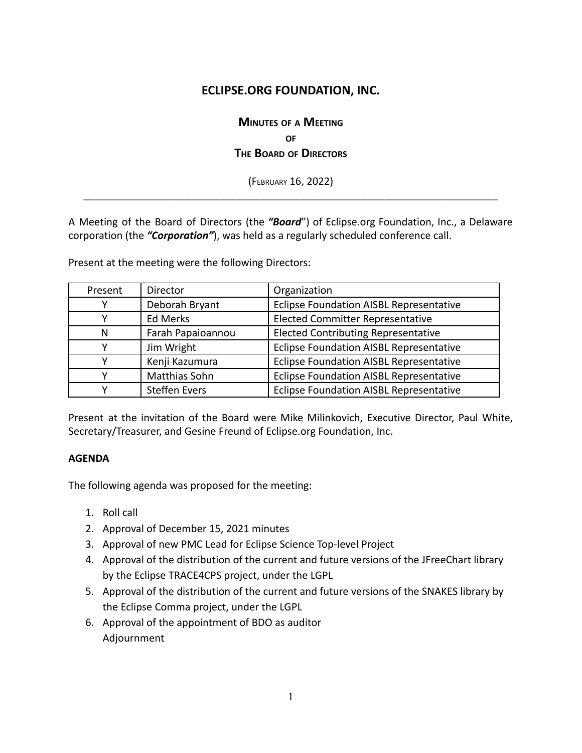## **ECLIPSE.ORG FOUNDATION, INC.**

# **MINUTES OF <sup>A</sup> MEETING OF THE BOARD OF DIRECTORS**

(FEBRUARY 16, 2022) \_\_\_\_\_\_\_\_\_\_\_\_\_\_\_\_\_\_\_\_\_\_\_\_\_\_\_\_\_\_\_\_\_\_\_\_\_\_\_\_\_\_\_\_\_\_\_\_\_\_\_\_\_\_\_\_\_\_\_\_\_\_\_\_\_\_\_\_\_\_\_\_\_

A Meeting of the Board of Directors (the *"Board*") of Eclipse.org Foundation, Inc., a Delaware corporation (the *"Corporation"*), was held as a regularly scheduled conference call.

Present at the meeting were the following Directors:

| Present | Director             | Organization                                   |
|---------|----------------------|------------------------------------------------|
|         | Deborah Bryant       | Eclipse Foundation AISBL Representative        |
|         | Ed Merks             | <b>Elected Committer Representative</b>        |
| N       | Farah Papaioannou    | <b>Elected Contributing Representative</b>     |
|         | Jim Wright           | <b>Eclipse Foundation AISBL Representative</b> |
|         | Kenji Kazumura       | <b>Eclipse Foundation AISBL Representative</b> |
|         | Matthias Sohn        | Eclipse Foundation AISBL Representative        |
|         | <b>Steffen Evers</b> | <b>Eclipse Foundation AISBL Representative</b> |

Present at the invitation of the Board were Mike Milinkovich, Executive Director, Paul White, Secretary/Treasurer, and Gesine Freund of Eclipse.org Foundation, Inc.

#### **AGENDA**

The following agenda was proposed for the meeting:

- 1. Roll call
- 2. Approval of December 15, 2021 minutes
- 3. Approval of new PMC Lead for Eclipse Science Top-level Project
- 4. Approval of the distribution of the current and future versions of the JFreeChart library by the Eclipse TRACE4CPS project, under the LGPL
- 5. Approval of the distribution of the current and future versions of the SNAKES library by the Eclipse Comma project, under the LGPL
- 6. Approval of the appointment of BDO as auditor Adjournment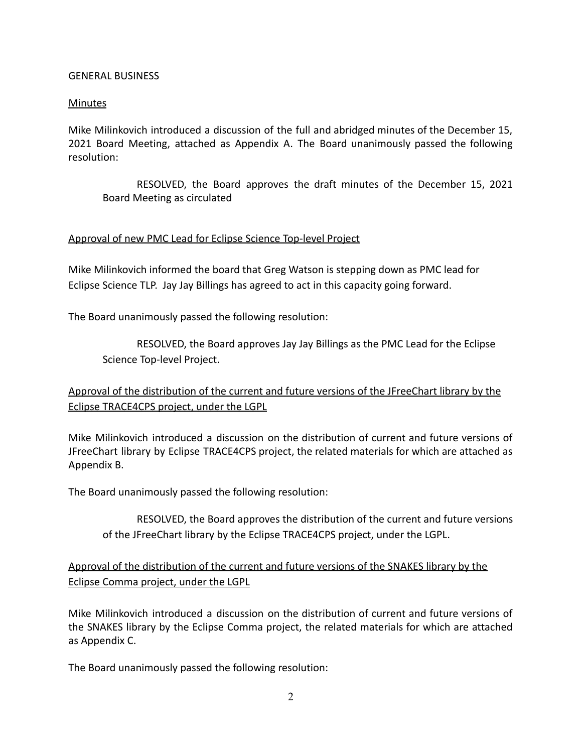### GENERAL BUSINESS

### Minutes

Mike Milinkovich introduced a discussion of the full and abridged minutes of the December 15, 2021 Board Meeting, attached as Appendix A. The Board unanimously passed the following resolution:

RESOLVED, the Board approves the draft minutes of the December 15, 2021 Board Meeting as circulated

#### Approval of new PMC Lead for Eclipse Science Top-level Project

Mike Milinkovich informed the board that Greg Watson is stepping down as PMC lead for Eclipse Science TLP. Jay Jay Billings has agreed to act in this capacity going forward.

The Board unanimously passed the following resolution:

RESOLVED, the Board approves Jay Jay Billings as the PMC Lead for the Eclipse Science Top-level Project.

## Approval of the distribution of the current and future versions of the JFreeChart library by the Eclipse TRACE4CPS project, under the LGPL

Mike Milinkovich introduced a discussion on the distribution of current and future versions of JFreeChart library by Eclipse TRACE4CPS project, the related materials for which are attached as Appendix B.

The Board unanimously passed the following resolution:

RESOLVED, the Board approves the distribution of the current and future versions of the JFreeChart library by the Eclipse TRACE4CPS project, under the LGPL.

### Approval of the distribution of the current and future versions of the SNAKES library by the Eclipse Comma project, under the LGPL

Mike Milinkovich introduced a discussion on the distribution of current and future versions of the SNAKES library by the Eclipse Comma project, the related materials for which are attached as Appendix C.

The Board unanimously passed the following resolution: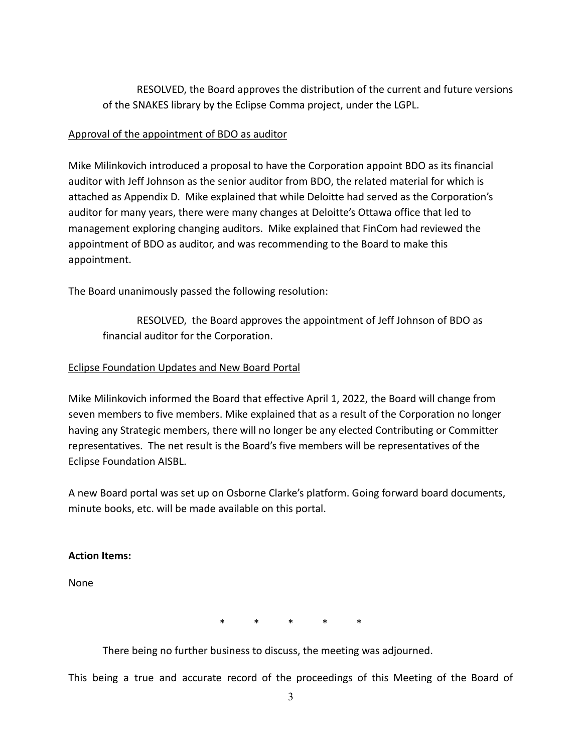RESOLVED, the Board approves the distribution of the current and future versions of the SNAKES library by the Eclipse Comma project, under the LGPL.

### Approval of the appointment of BDO as auditor

Mike Milinkovich introduced a proposal to have the Corporation appoint BDO as its financial auditor with Jeff Johnson as the senior auditor from BDO, the related material for which is attached as Appendix D. Mike explained that while Deloitte had served as the Corporation's auditor for many years, there were many changes at Deloitte's Ottawa office that led to management exploring changing auditors. Mike explained that FinCom had reviewed the appointment of BDO as auditor, and was recommending to the Board to make this appointment.

The Board unanimously passed the following resolution:

RESOLVED, the Board approves the appointment of Jeff Johnson of BDO as financial auditor for the Corporation.

### Eclipse Foundation Updates and New Board Portal

Mike Milinkovich informed the Board that effective April 1, 2022, the Board will change from seven members to five members. Mike explained that as a result of the Corporation no longer having any Strategic members, there will no longer be any elected Contributing or Committer representatives. The net result is the Board's five members will be representatives of the Eclipse Foundation AISBL.

A new Board portal was set up on Osborne Clarke's platform. Going forward board documents, minute books, etc. will be made available on this portal.

### **Action Items:**

None

\* \* \* \* \*

There being no further business to discuss, the meeting was adjourned.

This being a true and accurate record of the proceedings of this Meeting of the Board of